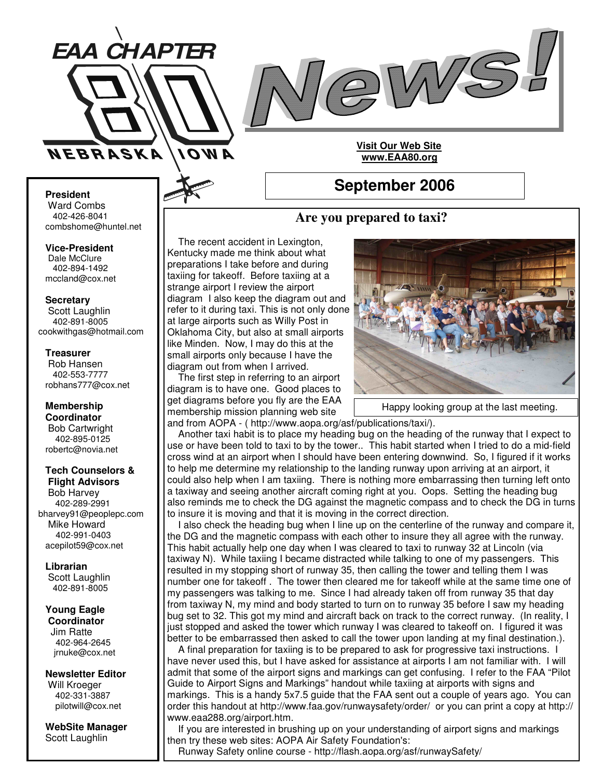



#### **President**

Ward Combs 402-426-8041 combshome@huntel.net

**Vice-President** Dale McClure 402-894-1492 mccland@cox.net

**Secretary**

Scott Laughlin 402-891-8005 cookwithgas@hotmail.com

#### **Treasurer**

Rob Hansen 402-553-7777 robhans777@cox.net

**Membership Coordinator** Bob Cartwright 402-895-0125 robertc@novia.net

#### **Tech Counselors & Flight Advisors**

Bob Harvey 402-289-2991 bharvey91@peoplepc.com Mike Howard 402-991-0403 acepilot59@cox.net

**Librarian** Scott Laughlin 402-891-8005

#### **Young Eagle Coordinator**

Jim Ratte 402-964-2645 jrnuke@cox.net

**Newsletter Editor** Will Kroeger 402-331-3887 pilotwill@cox.net

**WebSite Manager** Scott Laughlin

# **Are you prepared to taxi?**

**September 2006**

**Visit Our Web Site www.EAA80.org**

#### The recent accident in Lexington, Kentucky made me think about what preparations I take before and during taxiing for takeoff. Before taxiing at a strange airport I review the airport diagram I also keep the diagram out and refer to it during taxi. This is not only done at large airports such as Willy Post in Oklahoma City, but also at small airports like Minden. Now, I may do this at the small airports only because I have the diagram out from when I arrived.

The first step in referring to an airport diagram is to have one. Good places to get diagrams before you fly are the EAA membership mission planning web site



Happy looking group at the last meeting.

and from AOPA - ( http://www.aopa.org/asf/publications/taxi/).

Another taxi habit is to place my heading bug on the heading of the runway that I expect to use or have been told to taxi to by the tower.. This habit started when I tried to do a mid-field cross wind at an airport when I should have been entering downwind. So, I figured if it works to help me determine my relationship to the landing runway upon arriving at an airport, it could also help when I am taxiing. There is nothing more embarrassing then turning left onto a taxiway and seeing another aircraft coming right at you. Oops. Setting the heading bug also reminds me to check the DG against the magnetic compass and to check the DG in turns to insure it is moving and that it is moving in the correct direction.

I also check the heading bug when I line up on the centerline of the runway and compare it, the DG and the magnetic compass with each other to insure they all agree with the runway. This habit actually help one day when I was cleared to taxi to runway 32 at Lincoln (via taxiway N). While taxiing I became distracted while talking to one of my passengers. This resulted in my stopping short of runway 35, then calling the tower and telling them I was number one for takeoff . The tower then cleared me for takeoff while at the same time one of my passengers was talking to me. Since I had already taken off from runway 35 that day from taxiway N, my mind and body started to turn on to runway 35 before I saw my heading bug set to 32. This got my mind and aircraft back on track to the correct runway. (In reality, I just stopped and asked the tower which runway I was cleared to takeoff on. I figured it was better to be embarrassed then asked to call the tower upon landing at my final destination.).

A final preparation for taxiing is to be prepared to ask for progressive taxi instructions. I have never used this, but I have asked for assistance at airports I am not familiar with. I will admit that some of the airport signs and markings can get confusing. I refer to the FAA "Pilot Guide to Airport Signs and Markings" handout while taxiing at airports with signs and markings. This is a handy 5x7.5 guide that the FAA sent out a couple of years ago. You can order this handout at http://www.faa.gov/runwaysafety/order/ or you can print a copy at http:// www.eaa288.org/airport.htm.

If you are interested in brushing up on your understanding of airport signs and markings then try these web sites: AOPA Air Safety Foundation's:

Runway Safety online course - http://flash.aopa.org/asf/runwaySafety/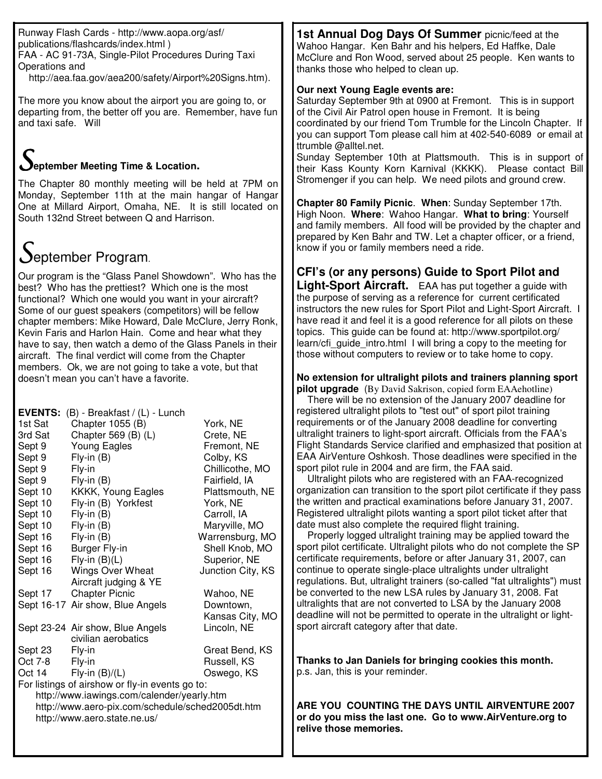Runway Flash Cards - http://www.aopa.org/asf/ publications/flashcards/index.html ) FAA - AC 91-73A, Single-Pilot Procedures During Taxi Operations and

http://aea.faa.gov/aea200/safety/Airport%20Signs.htm).

The more you know about the airport you are going to, or departing from, the better off you are. Remember, have fun and taxi safe. Will

# **eptember Meeting Time & Location.**

The Chapter 80 monthly meeting will be held at 7PM on Monday, September 11th at the main hangar of Hangar One at Millard Airport, Omaha, NE. It is still located on South 132nd Street between Q and Harrison.

# $S$ eptember Program.

Our program is the "Glass Panel Showdown". Who has the best? Who has the prettiest? Which one is the most functional? Which one would you want in your aircraft? Some of our guest speakers (competitors) will be fellow chapter members: Mike Howard, Dale McClure, Jerry Ronk, Kevin Faris and Harlon Hain. Come and hear what they have to say, then watch a demo of the Glass Panels in their aircraft. The final verdict will come from the Chapter members. Ok, we are not going to take a vote, but that doesn't mean you can't have a favorite.

| 1st Sat<br>3rd Sat<br>Sept 9<br>Sept 9<br>Sept 9<br>Sept 9<br>Sept 10<br>Sept 10<br>Sept 10<br>Sept 10<br>Sept 16<br>Sept 16<br>Sept 16                                                                                                                                                                  | <b>EVENTS:</b> $(B)$ - Breakfast / $(L)$ - Lunch<br>Chapter 1055 (B)<br>Chapter 569 (B) (L)<br>Young Eagles<br>Fly-in (B)<br>Fly-in<br>Fly-in (B)<br>KKKK, Young Eagles<br>Fly-in (B) Yorkfest<br>$Fly-in(B)$<br>Fly-in (B)<br>Fly-in (B)<br>Burger Fly-in<br>$Fly$ -in $(B)(L)$ | York, NE<br>Crete, NE<br>Fremont, NE<br>Colby, KS<br>Chillicothe, MO<br>Fairfield, IA<br>Plattsmouth, NE<br>York, NE<br>Carroll, IA<br>Maryville, MO<br>Warrensburg, MO<br>Shell Knob, MO<br>Superior, NE |
|----------------------------------------------------------------------------------------------------------------------------------------------------------------------------------------------------------------------------------------------------------------------------------------------------------|----------------------------------------------------------------------------------------------------------------------------------------------------------------------------------------------------------------------------------------------------------------------------------|-----------------------------------------------------------------------------------------------------------------------------------------------------------------------------------------------------------|
| Sept 16                                                                                                                                                                                                                                                                                                  | <b>Wings Over Wheat</b>                                                                                                                                                                                                                                                          | Junction City, KS                                                                                                                                                                                         |
| Sept 17                                                                                                                                                                                                                                                                                                  | Aircraft judging & YE<br><b>Chapter Picnic</b><br>Sept 16-17 Air show, Blue Angels<br>Sept 23-24 Air show, Blue Angels<br>civilian aerobatics                                                                                                                                    | Wahoo, NE<br>Downtown,<br>Kansas City, MO<br>Lincoln, NE                                                                                                                                                  |
| Sept 23<br>Great Bend, KS<br>Fly-in<br>Russell, KS<br>Oct 7-8<br>Fly-in<br>Fly-in $(B)/(L)$<br>Oct 14<br>Oswego, KS<br>For listings of airshow or fly-in events go to:<br>http://www.iawings.com/calender/yearly.htm<br>http://www.aero-pix.com/schedule/sched2005dt.htm<br>http://www.aero.state.ne.us/ |                                                                                                                                                                                                                                                                                  |                                                                                                                                                                                                           |

**1st Annual Dog Days Of Summer** picnic/feed at the Wahoo Hangar. Ken Bahr and his helpers, Ed Haffke, Dale McClure and Ron Wood, served about 25 people. Ken wants to thanks those who helped to clean up.

## **Our next Young Eagle events are:**

Saturday September 9th at 0900 at Fremont. This is in support of the Civil Air Patrol open house in Fremont. It is being coordinated by our friend Tom Trumble for the Lincoln Chapter. If you can support Tom please call him at 402-540-6089 or email at ttrumble @alltel.net.

Sunday September 10th at Plattsmouth. This is in support of their Kass Kounty Korn Karnival (KKKK). Please contact Bill Stromenger if you can help. We need pilots and ground crew.

**Chapter 80 Family Picnic**. **When**: Sunday September 17th. High Noon. **Where**: Wahoo Hangar. **What to bring**: Yourself and family members. All food will be provided by the chapter and prepared by Ken Bahr and TW. Let a chapter officer, or a friend, know if you or family members need a ride.

## **CFI's (or any persons) Guide to Sport Pilot and**

**Light-Sport Aircraft.** EAA has put together a guide with the purpose of serving as a reference for current certificated instructors the new rules for Sport Pilot and Light-Sport Aircraft. have read it and feel it is a good reference for all pilots on these topics. This guide can be found at: http://www.sportpilot.org/ learn/cfi\_guide\_intro.html I will bring a copy to the meeting for those without computers to review or to take home to copy.

#### **No extension for ultralight pilots and trainers planning sport pilot upgrade** (By David Sakrison, copied form EAAehotline)

There will be no extension of the January 2007 deadline for registered ultralight pilots to "test out" of sport pilot training requirements or of the January 2008 deadline for converting ultralight trainers to light-sport aircraft. Officials from the FAA's Flight Standards Service clarified and emphasized that position at EAA AirVenture Oshkosh. Those deadlines were specified in the sport pilot rule in 2004 and are firm, the FAA said.

Ultralight pilots who are registered with an FAA-recognized organization can transition to the sport pilot certificate if they pass the written and practical examinations before January 31, 2007. Registered ultralight pilots wanting a sport pilot ticket after that date must also complete the required flight training.

Properly logged ultralight training may be applied toward the sport pilot certificate. Ultralight pilots who do not complete the SP certificate requirements, before or after January 31, 2007, can continue to operate single-place ultralights under ultralight regulations. But, ultralight trainers (so-called "fat ultralights") must be converted to the new LSA rules by January 31, 2008. Fat ultralights that are not converted to LSA by the January 2008 deadline will not be permitted to operate in the ultralight or lightsport aircraft category after that date.

**Thanks to Jan Daniels for bringing cookies this month.** p.s. Jan, this is your reminder.

**ARE YOU COUNTING THE DAYS UNTIL AIRVENTURE 2007 or do you miss the last one. Go to www.AirVenture.org to relive those memories.**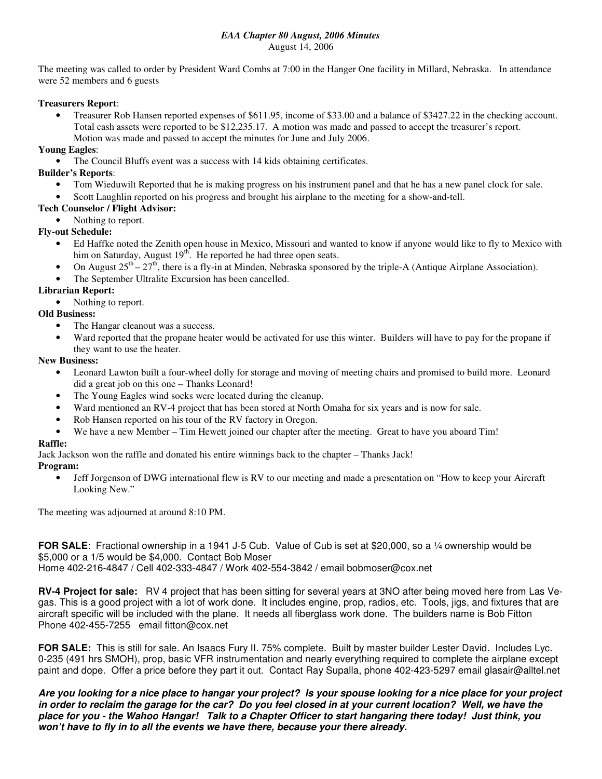#### *EAA Chapter 80 August, 2006 Minutes* August 14, 2006

The meeting was called to order by President Ward Combs at 7:00 in the Hanger One facility in Millard, Nebraska. In attendance were 52 members and 6 guests

### **Treasurers Report**:

• Treasurer Rob Hansen reported expenses of \$611.95, income of \$33.00 and a balance of \$3427.22 in the checking account. Total cash assets were reported to be \$12,235.17. A motion was made and passed to accept the treasurer's report. Motion was made and passed to accept the minutes for June and July 2006.

### **Young Eagles**:

• The Council Bluffs event was a success with 14 kids obtaining certificates.

#### **Builder's Reports**:

- Tom Wieduwilt Reported that he is making progress on his instrument panel and that he has a new panel clock for sale.
- Scott Laughlin reported on his progress and brought his airplane to the meeting for a show-and-tell.

#### **Tech Counselor / Flight Advisor:**

Nothing to report.

### **Fly-out Schedule:**

- Ed Haffke noted the Zenith open house in Mexico, Missouri and wanted to know if anyone would like to fly to Mexico with him on Saturday, August 19<sup>th</sup>. He reported he had three open seats.
- On August  $25<sup>th</sup> 27<sup>th</sup>$ , there is a fly-in at Minden, Nebraska sponsored by the triple-A (Antique Airplane Association).
- The September Ultralite Excursion has been cancelled.

### **Librarian Report:**

• Nothing to report.

### **Old Business:**

- The Hangar cleanout was a success.
- Ward reported that the propane heater would be activated for use this winter. Builders will have to pay for the propane if they want to use the heater.

#### **New Business:**

- Leonard Lawton built a four-wheel dolly for storage and moving of meeting chairs and promised to build more. Leonard did a great job on this one – Thanks Leonard!
- The Young Eagles wind socks were located during the cleanup.
- Ward mentioned an RV-4 project that has been stored at North Omaha for six years and is now for sale.
- Rob Hansen reported on his tour of the RV factory in Oregon.
- We have a new Member Tim Hewett joined our chapter after the meeting. Great to have you aboard Tim!

#### **Raffle:**

Jack Jackson won the raffle and donated his entire winnings back to the chapter – Thanks Jack!

#### **Program:**

• Jeff Jorgenson of DWG international flew is RV to our meeting and made a presentation on "How to keep your Aircraft" Looking New."

The meeting was adjourned at around 8:10 PM.

**FOR SALE**: Fractional ownership in a 1941 J-5 Cub. Value of Cub is set at \$20,000, so a ¼ ownership would be \$5,000 or a 1/5 would be \$4,000. Contact Bob Moser Home 402-216-4847 / Cell 402-333-4847 / Work 402-554-3842 / email bobmoser@cox.net

**RV-4 Project for sale:** RV 4 project that has been sitting for several years at 3NO after being moved here from Las Vegas. This is a good project with a lot of work done. It includes engine, prop, radios, etc. Tools, jigs, and fixtures that are aircraft specific will be included with the plane. It needs all fiberglass work done. The builders name is Bob Fitton Phone 402-455-7255 email fitton@cox.net

**FOR SALE:** This is still for sale. An Isaacs Fury II. 75% complete. Built by master builder Lester David. Includes Lyc. 0-235 (491 hrs SMOH), prop, basic VFR instrumentation and nearly everything required to complete the airplane except paint and dope. Offer a price before they part it out. Contact Ray Supalla, phone 402-423-5297 email glasair@alltel.net

Are you looking for a nice place to hangar your project? Is your spouse looking for a nice place for your project in order to reclaim the garage for the car? Do you feel closed in at your current location? Well, we have the place for you - the Wahoo Hangar! Talk to a Chapter Officer to start hangaring there today! Just think, you *won't have to fly in to all the events we have there, because your there already.*